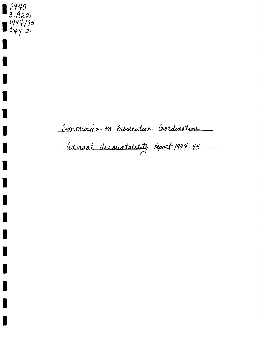P945  $3.422$ 1994/95  $1$  Copy 2

Commission on Prosecution Coordination

Annual accountability Report 1994-95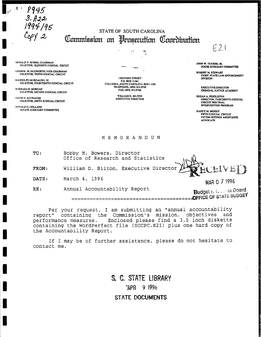P945  $3.422$  $94/95$ 

 $\cdot$   $\cdot$ 

# **STATE OF SOUTH CAROLINA** Commission on Prosecution Coordination

DONALD V. MYERS, CHAIRMAN<br>SOLICITOR, ELEVENTH JUDICIAL CIRCUIT

GEORGE M. DUCWORTH, VICE-CHARMAN SOLICITOR, TENTH JUDICIAL CIRCUIT

**RANDOLPH MERDALIGH III** SOLICITOR, FOURTEENTH JUDICIAL CIRCUIT

**BARBARA R. MORGAN** SOLICITOR, SECOND JUDICIAL CIRCUIT

**DAVID P. SCHWACKE** SOLICITOR, NINTH JUDICIAL CIRCUIT

**DONALD H. HOLLAND** SENATE JUDICIARY COMMITTEE

**1202 PARK STREET** P.O. BOX 11561 COLUMBIA, SOUTH CAROLINA 29211-1561 TELEPHONE: (803) 343-0765 FAX: (803) 343-0766

> WILLIAM D. BILTON **EXECUTIVE DIRECTOR**

JOHN W. TUCKER, JR. **HOUSE JUDICIARY COMMITTER** 

 $F21$ 

**ROBERT M. STEWART** CHIEF, STATE LAW ENFORCEMENT **DIVISION** 

**EXECUTIVE DIRECTOR CRIMINAL JUSTICE ACADEMY** 

REGAN A. PENDLETON **JAN A. PENDLETUN<br>DIRECTOR, THIRTEENTH JUDICIAL<br>CIRCUIT PRE-TRIAL** INTERVENTION PROGRAM

NANCY M. MOODY FIFTH JUDICIAL CIRCUIT<br>VICTIM-WITNESS ASSISTANCE **ADVOCATE** 

MEMORANDUM

TO: Bobby M. Bowers, Director Office of Research and Statistics

William D. Bilton, Executive Director FROM:

March 4, 1996 DATE:

 $RE:$ Annual Accountability Report MAR 0 7 1996

**Budget & Commot Board** 

Per your request, I am submitting an "annual accountability report" containing the Commission's mission, objectives and performance measures. Enclosed please find a 3.5 inch diskette containing the WordPerfect file (SCCPC.E21) plus one hard copy of the Accountability Report.

If I may be of further assistance, please do not hesitate to contact me.

> S. C. STATE LIBRARY ZAPR 9 1996 **STATE DOCUMENTS**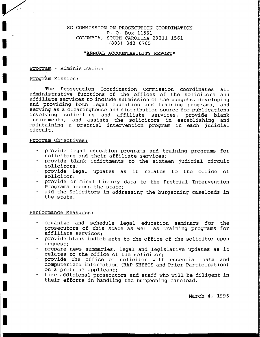# , SC COMMISSION ON PROSECUTION COORDINATION P. O. Box <sup>11551</sup> COLUMBIA, SOUTH CAROLINA 29211-1561<br>(803) 343-0765

### "ANNUAL ACCOUNTABILITY REPORT"

Proqram - Administration

# Program Mission:

t

t

I

I

t

I

l

I

I

T

T

I

T

I

T

I

I

I

I

The Prosecution Coordination Commission coordinates all<br>administrative functions of the offices of the solicitors and<br>affiliate services to include submission of the budgets, developing<br>and providing both legal education a

## Program Obiectives:

- provide legal education programs and training programs for<br>solicitors and their affiliate services;<br>provide blank indictments to the sixteen judicial circuit<br>solicitors;<br>provide legal updates as it relates to the office of
- 
- 
- 
- aid the Solicitors in addressing the burgeoning caseloads in the state.

#### Performance Measures:

- organize and schedule legal education seminars for the prosecutors of this state as well as training programs for affiliate services:
- provide blank indictments to the office of the solicitor upon request;
- prepare news summaries, legal and legislative updates as it relates to the office of the solicitor;
- provide the office of solicitor with essential data and computerized information (nap SHEETS and prior participation) on a pretrial applicant;
- hire additional prosecutors and staff who will be diligent in their efforts in handling the burgeoning caseload.

March 4, 1995